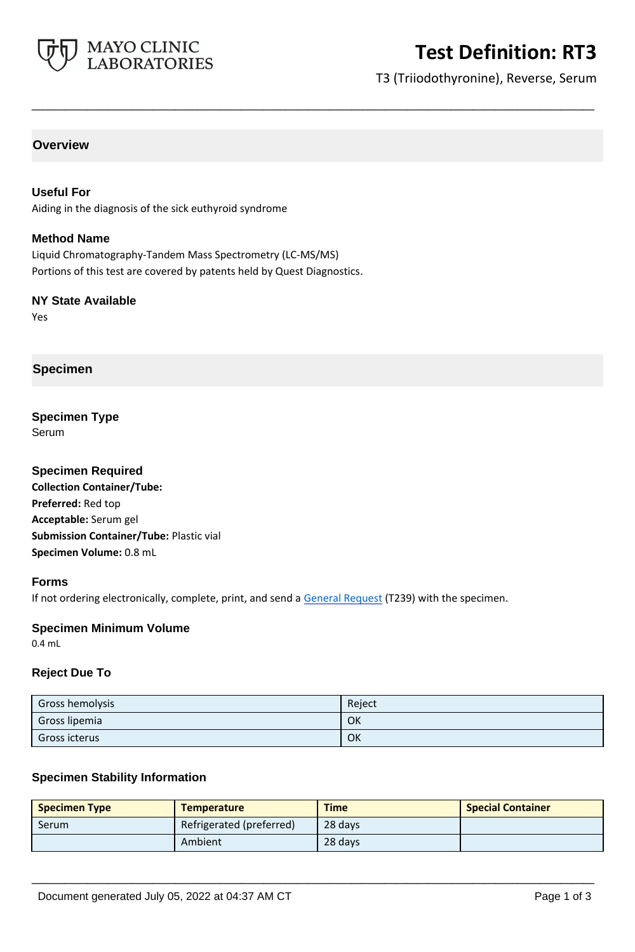

# **Test Definition: RT3**

T3 (Triiodothyronine), Reverse, Serum

### **Overview**

#### **Useful For**

Aiding in the diagnosis of the sick euthyroid syndrome

#### **Method Name**

Liquid Chromatography-Tandem Mass Spectrometry (LC-MS/MS) Portions of this test are covered by patents held by Quest Diagnostics.

#### **NY State Available**

Yes

### **Specimen**

#### **Specimen Type** Serum

## **Specimen Required Collection Container/Tube: Preferred:** Red top **Acceptable:** Serum gel **Submission Container/Tube:** Plastic vial **Specimen Volume:** 0.8 mL

#### **Forms**

If not ordering electronically, complete, print, and send a [General Request](https://www.mayocliniclabs.com/it-mmfiles/general-request-form.pdf) (T239) with the specimen.

#### **Specimen Minimum Volume**

0.4 mL

#### **Reject Due To**

| Gross hemolysis      | Reject |
|----------------------|--------|
| Gross lipemia        | OK     |
| <b>Gross icterus</b> | OK     |

**\_\_\_\_\_\_\_\_\_\_\_\_\_\_\_\_\_\_\_\_\_\_\_\_\_\_\_\_\_\_\_\_\_\_\_\_\_\_\_\_\_\_\_\_\_\_\_\_\_\_\_**

#### **Specimen Stability Information**

| <b>Specimen Type</b> | <b>Temperature</b>       | <b>Time</b> | <b>Special Container</b> |
|----------------------|--------------------------|-------------|--------------------------|
| Serum                | Refrigerated (preferred) | 28 days     |                          |
|                      | Ambient                  | 28 days     |                          |

**\_\_\_\_\_\_\_\_\_\_\_\_\_\_\_\_\_\_\_\_\_\_\_\_\_\_\_\_\_\_\_\_\_\_\_\_\_\_\_\_\_\_\_\_\_\_\_\_\_\_\_**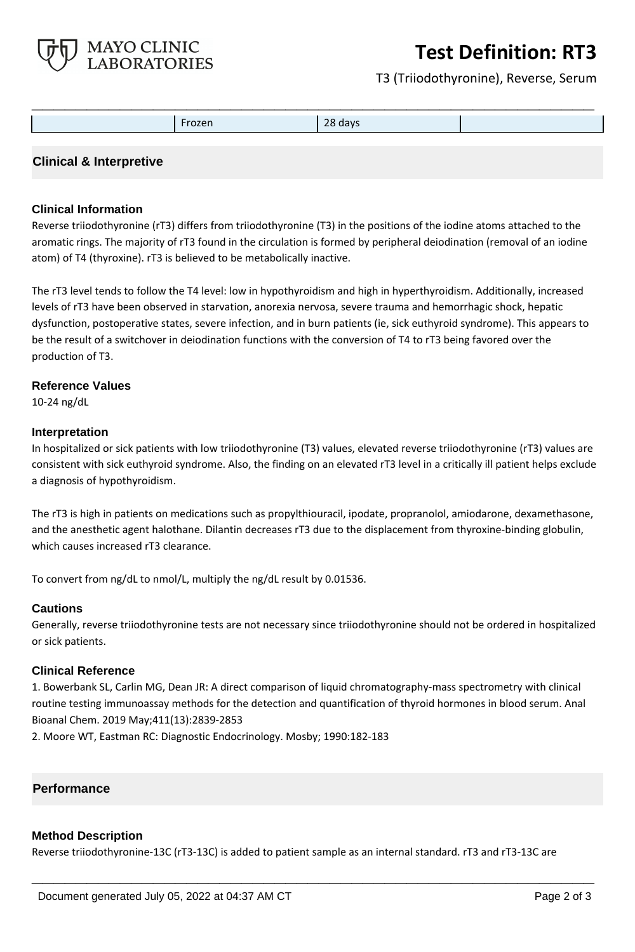

# **Test Definition: RT3**

T3 (Triiodothyronine), Reverse, Serum

|  | Frozen | 28 days |  |
|--|--------|---------|--|

### **Clinical & Interpretive**

#### **Clinical Information**

Reverse triiodothyronine (rT3) differs from triiodothyronine (T3) in the positions of the iodine atoms attached to the aromatic rings. The majority of rT3 found in the circulation is formed by peripheral deiodination (removal of an iodine atom) of T4 (thyroxine). rT3 is believed to be metabolically inactive.

The rT3 level tends to follow the T4 level: low in hypothyroidism and high in hyperthyroidism. Additionally, increased levels of rT3 have been observed in starvation, anorexia nervosa, severe trauma and hemorrhagic shock, hepatic dysfunction, postoperative states, severe infection, and in burn patients (ie, sick euthyroid syndrome). This appears to be the result of a switchover in deiodination functions with the conversion of T4 to rT3 being favored over the production of T3.

#### **Reference Values**

10-24 ng/dL

#### **Interpretation**

In hospitalized or sick patients with low triiodothyronine (T3) values, elevated reverse triiodothyronine (rT3) values are consistent with sick euthyroid syndrome. Also, the finding on an elevated rT3 level in a critically ill patient helps exclude a diagnosis of hypothyroidism.

The rT3 is high in patients on medications such as propylthiouracil, ipodate, propranolol, amiodarone, dexamethasone, and the anesthetic agent halothane. Dilantin decreases rT3 due to the displacement from thyroxine-binding globulin, which causes increased rT3 clearance.

To convert from ng/dL to nmol/L, multiply the ng/dL result by 0.01536.

#### **Cautions**

Generally, reverse triiodothyronine tests are not necessary since triiodothyronine should not be ordered in hospitalized or sick patients.

#### **Clinical Reference**

1. Bowerbank SL, Carlin MG, Dean JR: A direct comparison of liquid chromatography-mass spectrometry with clinical routine testing immunoassay methods for the detection and quantification of thyroid hormones in blood serum. Anal Bioanal Chem. 2019 May;411(13):2839-2853

2. Moore WT, Eastman RC: Diagnostic Endocrinology. Mosby; 1990:182-183

#### **Performance**

#### **Method Description**

Reverse triiodothyronine-13C (rT3-13C) is added to patient sample as an internal standard. rT3 and rT3-13C are

**\_\_\_\_\_\_\_\_\_\_\_\_\_\_\_\_\_\_\_\_\_\_\_\_\_\_\_\_\_\_\_\_\_\_\_\_\_\_\_\_\_\_\_\_\_\_\_\_\_\_\_**